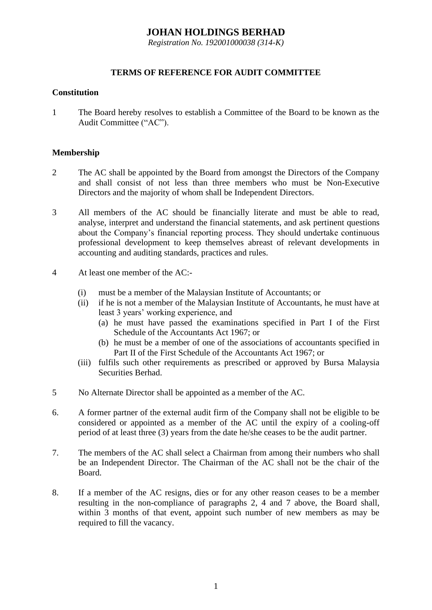# **JOHAN HOLDINGS BERHAD**

*Registration No. 192001000038 (314-K)*

## **TERMS OF REFERENCE FOR AUDIT COMMITTEE**

#### **Constitution**

1 The Board hereby resolves to establish a Committee of the Board to be known as the Audit Committee ("AC").

#### **Membership**

- 2 The AC shall be appointed by the Board from amongst the Directors of the Company and shall consist of not less than three members who must be Non-Executive Directors and the majority of whom shall be Independent Directors.
- 3 All members of the AC should be financially literate and must be able to read, analyse, interpret and understand the financial statements, and ask pertinent questions about the Company's financial reporting process. They should undertake continuous professional development to keep themselves abreast of relevant developments in accounting and auditing standards, practices and rules.
- 4 At least one member of the AC:-
	- (i) must be a member of the Malaysian Institute of Accountants; or
	- (ii) if he is not a member of the Malaysian Institute of Accountants, he must have at least 3 years' working experience, and
		- (a) he must have passed the examinations specified in Part I of the First Schedule of the Accountants Act 1967; or
		- (b) he must be a member of one of the associations of accountants specified in Part II of the First Schedule of the Accountants Act 1967; or
	- (iii) fulfils such other requirements as prescribed or approved by Bursa Malaysia Securities Berhad.
- 5 No Alternate Director shall be appointed as a member of the AC.
- 6. A former partner of the external audit firm of the Company shall not be eligible to be considered or appointed as a member of the AC until the expiry of a cooling-off period of at least three (3) years from the date he/she ceases to be the audit partner.
- 7. The members of the AC shall select a Chairman from among their numbers who shall be an Independent Director. The Chairman of the AC shall not be the chair of the Board.
- 8. If a member of the AC resigns, dies or for any other reason ceases to be a member resulting in the non-compliance of paragraphs 2, 4 and 7 above, the Board shall, within 3 months of that event, appoint such number of new members as may be required to fill the vacancy.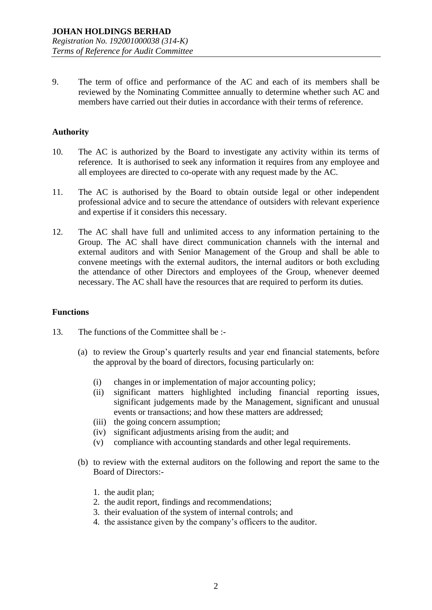9. The term of office and performance of the AC and each of its members shall be reviewed by the Nominating Committee annually to determine whether such AC and members have carried out their duties in accordance with their terms of reference.

## **Authority**

- 10. The AC is authorized by the Board to investigate any activity within its terms of reference. It is authorised to seek any information it requires from any employee and all employees are directed to co-operate with any request made by the AC.
- 11. The AC is authorised by the Board to obtain outside legal or other independent professional advice and to secure the attendance of outsiders with relevant experience and expertise if it considers this necessary.
- 12. The AC shall have full and unlimited access to any information pertaining to the Group. The AC shall have direct communication channels with the internal and external auditors and with Senior Management of the Group and shall be able to convene meetings with the external auditors, the internal auditors or both excluding the attendance of other Directors and employees of the Group, whenever deemed necessary. The AC shall have the resources that are required to perform its duties.

#### **Functions**

- 13. The functions of the Committee shall be :-
	- (a) to review the Group's quarterly results and year end financial statements, before the approval by the board of directors, focusing particularly on:
		- (i) changes in or implementation of major accounting policy;
		- (ii) significant matters highlighted including financial reporting issues, significant judgements made by the Management, significant and unusual events or transactions; and how these matters are addressed;
		- (iii) the going concern assumption;
		- (iv) significant adjustments arising from the audit; and
		- (v) compliance with accounting standards and other legal requirements.
	- (b) to review with the external auditors on the following and report the same to the Board of Directors:-
		- 1. the audit plan;
		- 2. the audit report, findings and recommendations;
		- 3. their evaluation of the system of internal controls; and
		- 4. the assistance given by the company's officers to the auditor.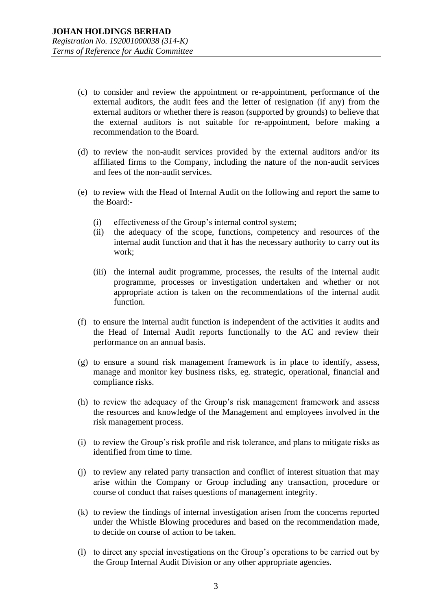- (c) to consider and review the appointment or re-appointment, performance of the external auditors, the audit fees and the letter of resignation (if any) from the external auditors or whether there is reason (supported by grounds) to believe that the external auditors is not suitable for re-appointment, before making a recommendation to the Board.
- (d) to review the non-audit services provided by the external auditors and/or its affiliated firms to the Company, including the nature of the non-audit services and fees of the non-audit services.
- (e) to review with the Head of Internal Audit on the following and report the same to the Board:-
	- (i) effectiveness of the Group's internal control system;
	- (ii) the adequacy of the scope, functions, competency and resources of the internal audit function and that it has the necessary authority to carry out its work;
	- (iii) the internal audit programme, processes, the results of the internal audit programme, processes or investigation undertaken and whether or not appropriate action is taken on the recommendations of the internal audit function.
- (f) to ensure the internal audit function is independent of the activities it audits and the Head of Internal Audit reports functionally to the AC and review their performance on an annual basis.
- (g) to ensure a sound risk management framework is in place to identify, assess, manage and monitor key business risks, eg. strategic, operational, financial and compliance risks.
- (h) to review the adequacy of the Group's risk management framework and assess the resources and knowledge of the Management and employees involved in the risk management process.
- (i) to review the Group's risk profile and risk tolerance, and plans to mitigate risks as identified from time to time.
- (j) to review any related party transaction and conflict of interest situation that may arise within the Company or Group including any transaction, procedure or course of conduct that raises questions of management integrity.
- (k) to review the findings of internal investigation arisen from the concerns reported under the Whistle Blowing procedures and based on the recommendation made, to decide on course of action to be taken.
- (l) to direct any special investigations on the Group's operations to be carried out by the Group Internal Audit Division or any other appropriate agencies.